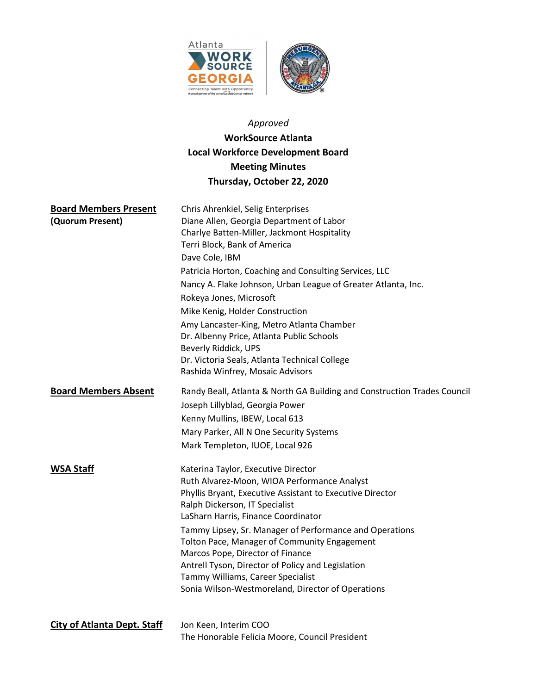

# Approved

# WorkSource Atlanta Local Workforce Development Board Meeting Minutes Thursday, October 22, 2020

| <b>Board Members Present</b>       | Chris Ahrenkiel, Selig Enterprises                                                                                                                              |
|------------------------------------|-----------------------------------------------------------------------------------------------------------------------------------------------------------------|
| (Quorum Present)                   | Diane Allen, Georgia Department of Labor<br>Charlye Batten-Miller, Jackmont Hospitality<br>Terri Block, Bank of America                                         |
|                                    | Dave Cole, IBM                                                                                                                                                  |
|                                    | Patricia Horton, Coaching and Consulting Services, LLC                                                                                                          |
|                                    | Nancy A. Flake Johnson, Urban League of Greater Atlanta, Inc.                                                                                                   |
|                                    | Rokeya Jones, Microsoft                                                                                                                                         |
|                                    | Mike Kenig, Holder Construction                                                                                                                                 |
|                                    | Amy Lancaster-King, Metro Atlanta Chamber<br>Dr. Albenny Price, Atlanta Public Schools<br>Beverly Riddick, UPS<br>Dr. Victoria Seals, Atlanta Technical College |
|                                    | Rashida Winfrey, Mosaic Advisors                                                                                                                                |
| <b>Board Members Absent</b>        | Randy Beall, Atlanta & North GA Building and Construction Trades Council                                                                                        |
|                                    | Joseph Lillyblad, Georgia Power                                                                                                                                 |
|                                    | Kenny Mullins, IBEW, Local 613                                                                                                                                  |
|                                    | Mary Parker, All N One Security Systems                                                                                                                         |
|                                    | Mark Templeton, IUOE, Local 926                                                                                                                                 |
| <b>WSA Staff</b>                   | Katerina Taylor, Executive Director                                                                                                                             |
|                                    | Ruth Alvarez-Moon, WIOA Performance Analyst                                                                                                                     |
|                                    | Phyllis Bryant, Executive Assistant to Executive Director<br>Ralph Dickerson, IT Specialist                                                                     |
|                                    | LaSharn Harris, Finance Coordinator                                                                                                                             |
|                                    | Tammy Lipsey, Sr. Manager of Performance and Operations                                                                                                         |
|                                    | Tolton Pace, Manager of Community Engagement                                                                                                                    |
|                                    | Marcos Pope, Director of Finance                                                                                                                                |
|                                    | Antrell Tyson, Director of Policy and Legislation                                                                                                               |
|                                    | Tammy Williams, Career Specialist                                                                                                                               |
|                                    | Sonia Wilson-Westmoreland, Director of Operations                                                                                                               |
| <b>City of Atlanta Dept. Staff</b> | Jon Keen, Interim COO                                                                                                                                           |
|                                    | The Honorable Felicia Moore, Council President                                                                                                                  |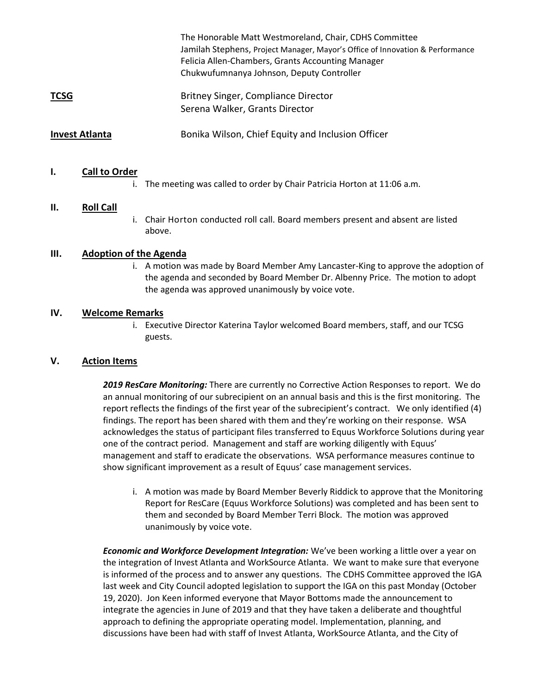|                       | The Honorable Matt Westmoreland, Chair, CDHS Committee<br>Jamilah Stephens, Project Manager, Mayor's Office of Innovation & Performance<br>Felicia Allen-Chambers, Grants Accounting Manager<br>Chukwufumnanya Johnson, Deputy Controller |
|-----------------------|-------------------------------------------------------------------------------------------------------------------------------------------------------------------------------------------------------------------------------------------|
| <b>TCSG</b>           | Britney Singer, Compliance Director<br>Serena Walker, Grants Director                                                                                                                                                                     |
| <b>Invest Atlanta</b> | Bonika Wilson, Chief Equity and Inclusion Officer                                                                                                                                                                                         |

#### I. Call to Order

i. The meeting was called to order by Chair Patricia Horton at 11:06 a.m.

#### II. Roll Call

i. Chair Horton conducted roll call. Board members present and absent are listed above.

#### III. Adoption of the Agenda

i. A motion was made by Board Member Amy Lancaster-King to approve the adoption of the agenda and seconded by Board Member Dr. Albenny Price. The motion to adopt the agenda was approved unanimously by voice vote.

#### IV. Welcome Remarks

i. Executive Director Katerina Taylor welcomed Board members, staff, and our TCSG guests.

## V. Action Items

2019 ResCare Monitoring: There are currently no Corrective Action Responses to report. We do an annual monitoring of our subrecipient on an annual basis and this is the first monitoring. The report reflects the findings of the first year of the subrecipient's contract. We only identified (4) findings. The report has been shared with them and they're working on their response. WSA acknowledges the status of participant files transferred to Equus Workforce Solutions during year one of the contract period. Management and staff are working diligently with Equus' management and staff to eradicate the observations. WSA performance measures continue to show significant improvement as a result of Equus' case management services.

i. A motion was made by Board Member Beverly Riddick to approve that the Monitoring Report for ResCare (Equus Workforce Solutions) was completed and has been sent to them and seconded by Board Member Terri Block. The motion was approved unanimously by voice vote.

**Economic and Workforce Development Integration:** We've been working a little over a year on the integration of Invest Atlanta and WorkSource Atlanta. We want to make sure that everyone is informed of the process and to answer any questions. The CDHS Committee approved the IGA last week and City Council adopted legislation to support the IGA on this past Monday (October 19, 2020). Jon Keen informed everyone that Mayor Bottoms made the announcement to integrate the agencies in June of 2019 and that they have taken a deliberate and thoughtful approach to defining the appropriate operating model. Implementation, planning, and discussions have been had with staff of Invest Atlanta, WorkSource Atlanta, and the City of